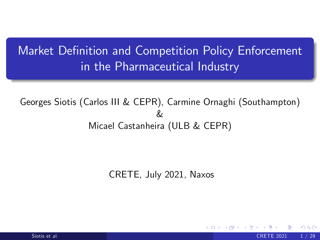## Market Definition and Competition Policy Enforcement in the Pharmaceutical Industry

Georges Siotis (Carlos III & CEPR), Carmine Ornaghi (Southampton) & Micael Castanheira (ULB & CEPR)

<span id="page-0-0"></span>CRETE, July 2021, Naxos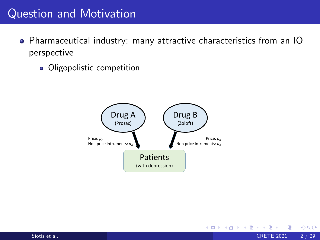## Question and Motivation

- Pharmaceutical industry: many attractive characteristics from an IO perspective
	- Oligopolistic competition



**∢ ロ ▶ ィ 何** 

 $\sim$  $\rightarrow$   $\rightarrow$   $\rightarrow$  <span id="page-1-0"></span> $QQ$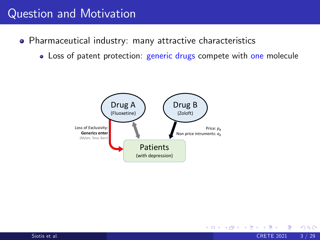### Question and Motivation

- Pharmaceutical industry: many attractive characteristics
	- Loss of patent protection: generic drugs compete with one molecule

∢ ロ ≯ → イ印

ミト

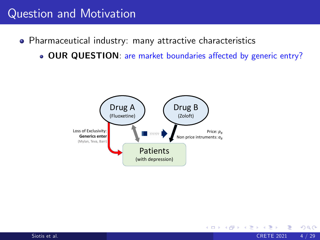## Question and Motivation

- Pharmaceutical industry: many attractive characteristics
	- . OUR QUESTION: are market boundaries affected by generic entry?

4 D F

<span id="page-3-0"></span>E K

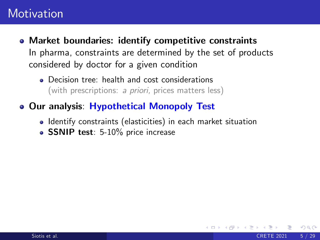- Market boundaries: identify competitive constraints In pharma, constraints are determined by the set of products considered by doctor for a given condition
	- **•** Decision tree: health and cost considerations (with prescriptions: a priori, prices matters less)
- Our analysis: Hypothetical Monopoly Test
	- Identify constraints (elasticities) in each market situation

<span id="page-4-0"></span>つひひ

• SSNIP test: 5-10% price increase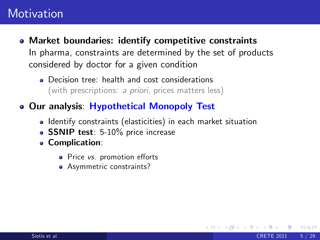- Market boundaries: identify competitive constraints In pharma, constraints are determined by the set of products considered by doctor for a given condition
	- **•** Decision tree: health and cost considerations (with prescriptions: *a priori,* prices matters less)
- Our analysis: Hypothetical Monopoly Test
	- Identify constraints (elasticities) in each market situation

- SSNIP test: 5-10% price increase
- Complication:
	- Price vs. promotion efforts
	- Asymmetric constraints?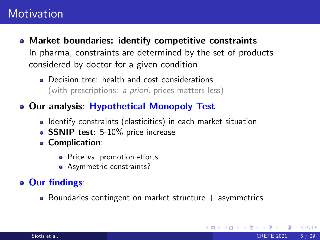- Market boundaries: identify competitive constraints In pharma, constraints are determined by the set of products considered by doctor for a given condition
	- **•** Decision tree: health and cost considerations (with prescriptions: a priori, prices matters less)
- Our analysis: Hypothetical Monopoly Test
	- Identify constraints (elasticities) in each market situation
	- SSNIP test: 5-10% price increase
	- Complication:
		- Price vs. promotion efforts
		- Asymmetric constraints?

#### • Our findings:

 $\bullet$  Boundaries contingent on market structure  $+$  asymmetries

<span id="page-6-0"></span>4 0 8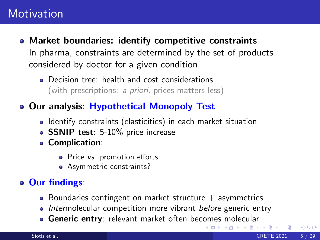- Market boundaries: identify competitive constraints In pharma, constraints are determined by the set of products considered by doctor for a given condition
	- **•** Decision tree: health and cost considerations (with prescriptions: a priori, prices matters less)
- Our analysis: Hypothetical Monopoly Test
	- Identify constraints (elasticities) in each market situation
	- SSNIP test: 5-10% price increase
	- Complication:
		- Price vs. promotion efforts
		- Asymmetric constraints?

#### • Our findings:

- $\bullet$  Boundaries contingent on market structure  $+$  asymmetries
- Intermolecular competition more vibrant before generic entry
- **Genericent[r](#page-34-0)y:** relevant market often bec[om](#page-6-0)[es](#page-8-0) [m](#page-4-0)[o](#page-7-0)[le](#page-8-0)[c](#page-0-0)[ul](#page-1-0)[a](#page-33-0)r

**∢ ロ ▶ ィ 何** 

<span id="page-7-0"></span> $QQ$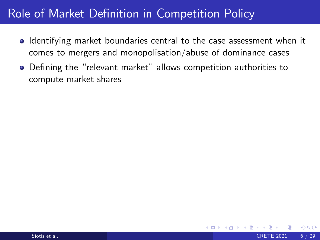• Identifying market boundaries central to the case assessment when it comes to mergers and monopolisation/abuse of dominance cases

<span id="page-8-0"></span> $\Omega$ 

• Defining the "relevant market" allows competition authorities to compute market shares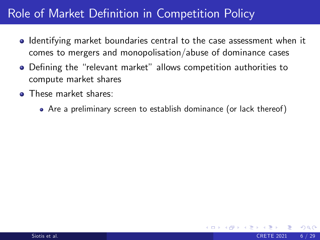- **I** Identifying market boundaries central to the case assessment when it comes to mergers and monopolisation/abuse of dominance cases
- Defining the "relevant market" allows competition authorities to compute market shares
- **o** These market shares:
	- Are a preliminary screen to establish dominance (or lack thereof)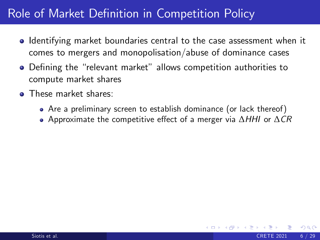- Identifying market boundaries central to the case assessment when it comes to mergers and monopolisation/abuse of dominance cases
- Defining the "relevant market" allows competition authorities to compute market shares
- **o** These market shares:
	- Are a preliminary screen to establish dominance (or lack thereof)
	- Approximate the competitive effect of a merger via  $\Delta H H$  or  $\Delta CR$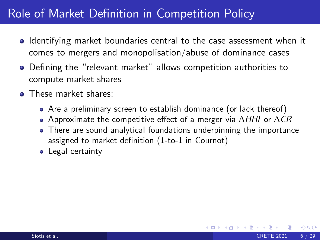- Identifying market boundaries central to the case assessment when it comes to mergers and monopolisation/abuse of dominance cases
- Defining the "relevant market" allows competition authorities to compute market shares
- **o** These market shares:
	- Are a preliminary screen to establish dominance (or lack thereof)
	- Approximate the competitive effect of a merger via  $\Delta H H$  or  $\Delta CR$
	- There are sound analytical foundations underpinning the importance assigned to market definition (1-to-1 in Cournot)
	- Legal certainty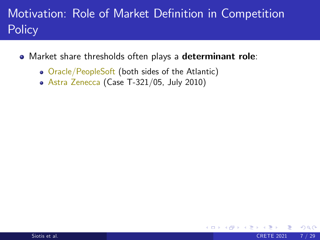- Market share thresholds often plays a determinant role:
	- Oracle/PeopleSoft (both sides of the Atlantic)
	- Astra Zenecca (Case T-321/05, July 2010)

4 0 8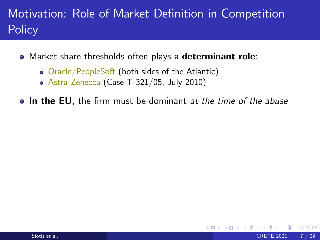- Market share thresholds often plays a determinant role:
	- Oracle/PeopleSoft (both sides of the Atlantic)
	- Astra Zenecca (Case T-321/05, July 2010)

**In the EU**, the firm must be dominant at the time of the abuse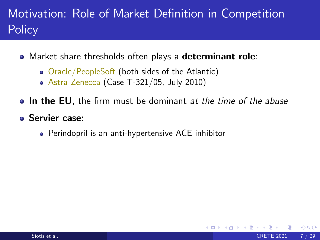- Market share thresholds often plays a determinant role:
	- Oracle/PeopleSoft (both sides of the Atlantic)
	- Astra Zenecca (Case T-321/05, July 2010)
- **In the EU**, the firm must be dominant at the time of the abuse

- Servier case:
	- Perindopril is an anti-hypertensive ACE inhibitor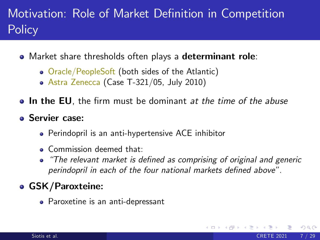- Market share thresholds often plays a determinant role:
	- Oracle/PeopleSoft (both sides of the Atlantic)
	- Astra Zenecca (Case T-321/05, July 2010)
- In the EU, the firm must be dominant *at the time of the abuse*

#### Servier case:

- Perindopril is an anti-hypertensive ACE inhibitor
- **.** Commission deemed that:
- "The relevant market is defined as comprising of original and generic perindopril in each of the four national markets defined above".

#### GSK/Paroxteine:

Paroxetine is an anti-depressant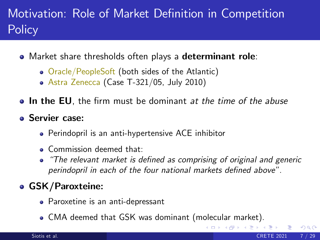- Market share thresholds often plays a determinant role:
	- Oracle/PeopleSoft (both sides of the Atlantic)
	- Astra Zenecca (Case T-321/05, July 2010)
- In the EU, the firm must be dominant *at the time of the abuse*

#### Servier case:

- Perindopril is an anti-hypertensive ACE inhibitor
- **.** Commission deemed that:
- "The relevant market is defined as comprising of original and generic perindopril in each of the four national markets defined above".

4 D F

#### GSK/Paroxteine:

- Paroxetine is an anti-depressant
- CMA deemed that GSK was dominant (molecular market).

 $QQQ$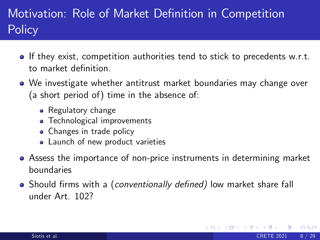- If they exist, competition authorities tend to stick to precedents w.r.t. to market definition.
- We investigate whether antitrust market boundaries may change over (a short period of) time in the absence of:
	- Regulatory change
	- **•** Technological improvements
	- Changes in trade policy
	- Launch of new product varieties
- Assess the importance of non-price instruments in determining market boundaries
- Should firms with a (conventionally defined) low market share fall under Art. 102?

 $200$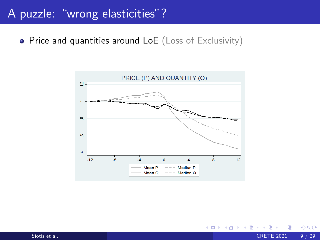#### A puzzle: "wrong elasticities"?

• Price and quantities around LoE (Loss of Exclusivity)



Siotis et al. () CRETE 2021 9 / 29

E K

4 D F  $\rightarrow$  <span id="page-18-0"></span> $QQ$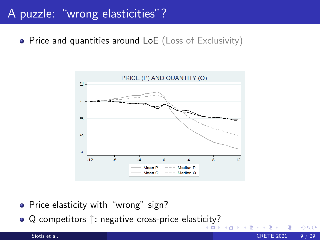### A puzzle: "wrong elasticities"?

• Price and quantities around LoE (Loss of Exclusivity)



 $\Omega$ 

- Price elasticity with "wrong" sign?
- $\bullet$  Q competitors  $\uparrow$ : negative cross-price elasti[cit](#page-18-0)[y?](#page-20-0)

Siotis et al. () CRETE 2021 9 / 29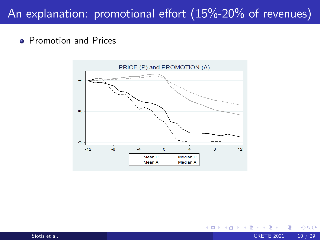## An explanation: promotional effort  $(15\textdegree{-}20\textdegree{})$  of revenues)

#### **• Promotion and Prices**



<span id="page-20-0"></span>4 0 8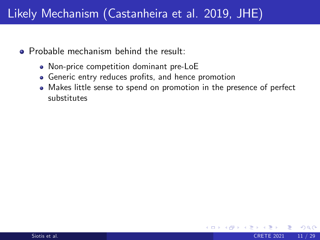## Likely Mechanism (Castanheira et al. 2019, JHE)

- **•** Probable mechanism behind the result:
	- Non-price competition dominant pre-LoE
	- Generic entry reduces profits, and hence promotion
	- Makes little sense to spend on promotion in the presence of perfect substitutes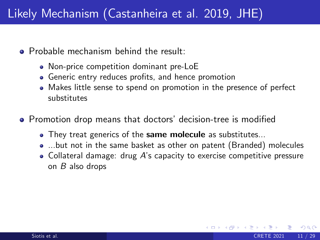## Likely Mechanism (Castanheira et al. 2019, JHE)

- **•** Probable mechanism behind the result:
	- Non-price competition dominant pre-LoE
	- Generic entry reduces profits, and hence promotion
	- Makes little sense to spend on promotion in the presence of perfect substitutes
- **•** Promotion drop means that doctors' decision-tree is modified
	- They treat generics of the same molecule as substitutes...
	- ...but not in the same basket as other on patent (Branded) molecules
	- $\bullet$  Collateral damage: drug A's capacity to exercise competitive pressure on B also drops

つひい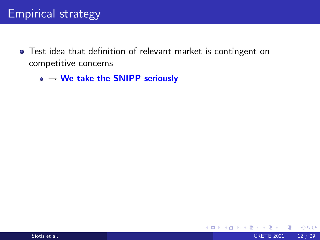### Empirical strategy

• Test idea that definition of relevant market is contingent on competitive concerns

 $\Omega$ 

4 D F

 $\bullet \rightarrow$  We take the SNIPP seriously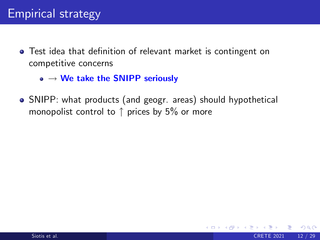- Test idea that definition of relevant market is contingent on competitive concerns
	- $\bullet \rightarrow$  We take the SNIPP seriously
- SNIPP: what products (and geogr. areas) should hypothetical monopolist control to  $\uparrow$  prices by 5% or more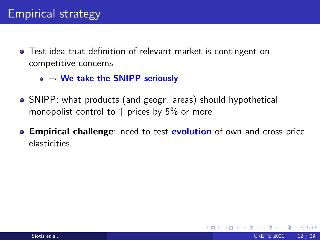- Test idea that definition of relevant market is contingent on competitive concerns
	- $\bullet \rightarrow \mathsf{We}$  take the SNIPP seriously
- SNIPP: what products (and geogr. areas) should hypothetical monopolist control to  $\uparrow$  prices by 5% or more
- **Empirical challenge:** need to test **evolution** of own and cross price elasticities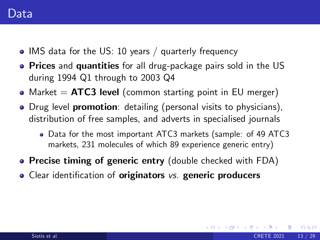- IMS data for the US: 10 years / quarterly frequency
- **Prices** and **quantities** for all drug-package pairs sold in the US during 1994 Q1 through to 2003 Q4
- Market  $=$  ATC3 level (common starting point in EU merger)
- **•** Drug level **promotion**: detailing (personal visits to physicians), distribution of free samples, and adverts in specialised journals
	- Data for the most important ATC3 markets (sample: of 49 ATC3 markets, 231 molecules of which 89 experience generic entry)

- Precise timing of generic entry (double checked with FDA)
- Clear identification of originators vs. generic producers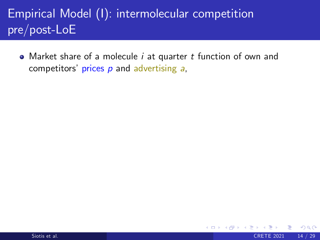• Market share of a molecule *i* at quarter *t* function of own and competitors' prices  $p$  and advertising  $a$ ,

4 0 8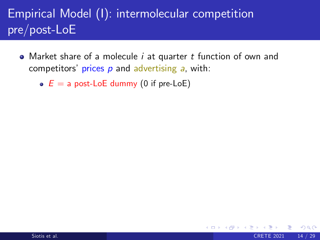• Market share of a molecule *i* at quarter *t* function of own and competitors' prices  $p$  and advertising  $a$ , with:

 $\Omega$ 

 $\bullet$   $E = a$  post-LoE dummy (0 if pre-LoE)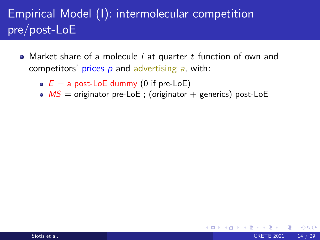- Market share of a molecule *i* at quarter *t* function of own and competitors' prices  $p$  and advertising  $a$ , with:
	- $E = a$  post-LoE dummy (0 if pre-LoE)
	- $MS =$  originator pre-LoE ; (originator + generics) post-LoE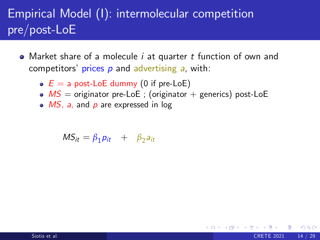- Market share of a molecule *i* at quarter *t* function of own and competitors' prices  $p$  and advertising  $a$ , with:
	- $E = a$  post-LoE dummy (0 if pre-LoE)
	- $MS =$  originator pre-LoE ; (originator + generics) post-LoE

 $200$ 

 $\bullet$  *MS*, a, and p are expressed in log

 $MS_{it} = \beta_1 p_{it} + \beta_2 a_{it}$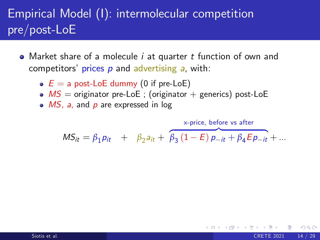- Market share of a molecule *i* at quarter *t* function of own and competitors' prices  $p$  and advertising  $a$ , with:
	- $E = a$  post-LoE dummy (0 if pre-LoE)
	- $MS =$  originator pre-LoE ; (originator + generics) post-LoE
	- $\bullet$  *MS*, a, and p are expressed in log

 $MS_{it} = \beta_1 p_{it} + \beta_2 a_{it} + \beta_3 (1 - E) p_{-it} + \beta_4 E p_{-it} + ...$ x-price, before vs after

 $200$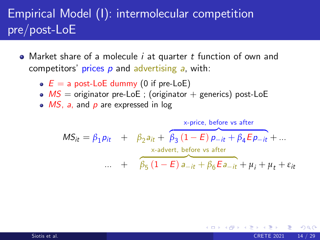- Market share of a molecule *i* at quarter *t* function of own and competitors' prices  $p$  and advertising  $a$ , with:
	- $E = a$  post-LoE dummy (0 if pre-LoE)
	- $MS =$  originator pre-LoE ; (originator + generics) post-LoE
	- $\bullet$  *MS*, a, and p are expressed in log

$$
MS_{it} = \beta_1 p_{it} + \beta_2 a_{it} + \beta_3 (1 - E) p_{-it} + \beta_4 E p_{-it} + ...
$$
  
\n
$$
\dots + \beta_5 (1 - E) a_{-it} + \beta_6 E a_{-it} + \mu_i + \mu_t + \varepsilon_{it}
$$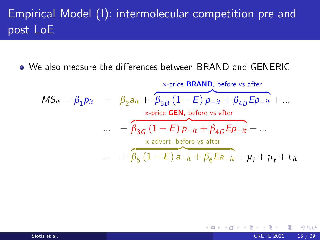● We also measure the differences between BRAND and GENERIC

<span id="page-33-0"></span>
$$
MS_{it} = \beta_1 p_{it} + \beta_2 a_{it} + \beta_3 B (1 - E) p_{-it} + \beta_4 B E p_{-it} + ...
$$
  
\n
$$
\begin{array}{rcl}\n&\times \text{price} & \text{BRAND, before vs after} \\
&\times \text{price} & \text{GEN, before vs after} \\
&\dots & + \beta_3 G (1 - E) p_{-it} + \beta_4 G E p_{-it} + ... \\
&\times \text{-advert, before vs after} \\
&\dots & + \beta_5 (1 - E) a_{-it} + \beta_6 E a_{-it} + \mu_i + \mu_t + \varepsilon_{it}\n\end{array}
$$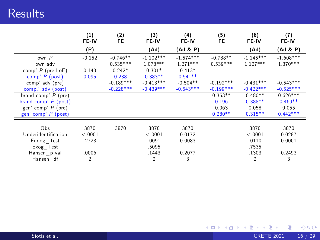|                        | (1)<br>FE-IV | (2)<br>FE   | (3)<br>FE-IV | (4)<br><b>FE-IV</b> | (5)<br>FE   | (6)<br>FE-IV | (7)<br>FE-IV |
|------------------------|--------------|-------------|--------------|---------------------|-------------|--------------|--------------|
|                        | (P)          |             | (Ad)         | (Ad & P)            |             | (Ad)         | (Ad & P)     |
| own $P$                | $-0.152$     | $-0.746**$  | $-1.102***$  | $-1.574***$         | $-0.788**$  | $-1.145***$  | $-1.608***$  |
| own adv                |              | $0.535***$  | $1.078***$   | $1.271***$          | $0.539***$  | $1.127***$   | $1.370***$   |
| comp' $P$ (pre LoE)    | 0.143        | $0.242*$    | $0.301*$     | $0.413*$            |             |              |              |
| comp' P (post)         | 0.095        | 0.238       | $0.383**$    | $0.541**$           |             |              |              |
| comp' adv (pre)        |              | $-0.189***$ | $-0.413***$  | $-0.504**$          | $-0.192***$ | $-0.431***$  | $-0.543***$  |
| comp.' adv (post)      |              | $-0.228***$ | $-0.439***$  | $-0.543***$         | $-0.199***$ | $-0.422***$  | $-0.525***$  |
| brand comp' $P$ (pre)  |              |             |              |                     | $0.353**$   | $0.480**$    | $0.626***$   |
| brand comp' $P$ (post) |              |             |              |                     | 0.196       | $0.388**$    | $0.469**$    |
| gen' comp' P (pre)     |              |             |              |                     | 0.063       | 0.058        | 0.055        |
| gen' comp' $P$ (post)  |              |             |              |                     | $0.280**$   | $0.315**$    | $0.442***$   |
|                        |              |             |              |                     |             |              |              |
| Obs                    | 3870         | 3870        | 3870         | 3870                |             | 3870         | 3870         |
| Underidentification    | < 0.0001     |             | < 0.001      | 0.0172              |             | < 0.0001     | 0.0287       |
| Endog Test             | .2723        |             | .0091        | 0.0083              |             | .0110        | 0.0001       |
| Exog Test              |              |             | .5095        |                     |             | .7535        |              |
| Hansen p val           | .0006        |             | .1443        | 0.2077              |             | .1303        | 0.2493       |
| Hansen df              | 2            |             | 2            | 3                   |             | 2            | 3            |

<span id="page-34-0"></span>K ロ > K 御 > K 君 > K 君 > 「君」 の Q Q <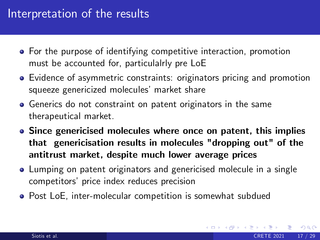#### Interpretation of the results

- For the purpose of identifying competitive interaction, promotion must be accounted for, particulalrly pre LoE
- **Exidence of asymmetric constraints: originators pricing and promotion** squeeze genericized molecules' market share
- Generics do not constraint on patent originators in the same therapeutical market.
- Since genericised molecules where once on patent, this implies that genericisation results in molecules "dropping out" of the antitrust market, despite much lower average prices
- Lumping on patent originators and genericised molecule in a single competitors' price index reduces precision
- Post LoE, inter-molecular competition is somewhat subdued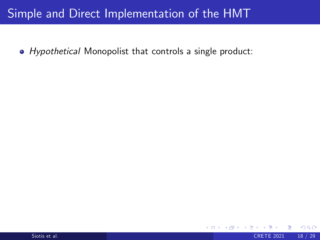### Simple and Direct Implementation of the HMT

• Hypothetical Monopolist that controls a single product:

4 0 8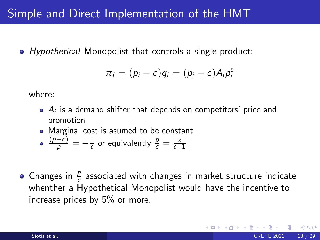### Simple and Direct Implementation of the HMT

• Hypothetical Monopolist that controls a single product:

$$
\pi_i=(p_i-c)q_i=(p_i-c)A_i p_i^{\varepsilon}
$$

where:

- $A_i$  is a demand shifter that depends on competitors' price and promotion
- Marginal cost is asumed to be constant

• 
$$
\frac{(p-c)}{p} = -\frac{1}{\varepsilon}
$$
 or equivalently  $\frac{p}{c} = \frac{\varepsilon}{\varepsilon + 1}$ 

Changes in  $\frac{p}{c}$  associated with changes in market structure indicate whenther a Hypothetical Monopolist would have the incentive to increase prices by 5% or more.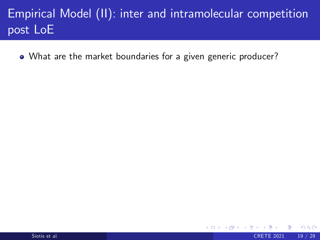# Empirical Model (II): inter and intramolecular competition post LoE

4.0.3

 $\Omega$ 

What are the market boundaries for a given generic producer?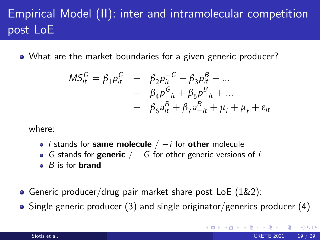# Empirical Model (II): inter and intramolecular competition post LoE

What are the market boundaries for a given generic producer?

$$
MS_{it}^{G} = \beta_{1} p_{it}^{G} + \beta_{2} p_{it}^{-G} + \beta_{3} p_{it}^{B} + ... + \beta_{4} p_{-it}^{G} + \beta_{5} p_{-it}^{B} + ... + \beta_{6} a_{it}^{B} + \beta_{7} a_{-it}^{B} + \mu_{i} + \mu_{t} + \varepsilon_{it}
$$

where:

- *i* stands for same molecule  $/ -i$  for other molecule
- G stands for generic  $/ G$  for other generic versions of i
- $\bullet$  B is for **brand**
- Generic producer/drug pair market share post LoE (1&2):
- Single generic producer (3) and single originator/generics producer (4)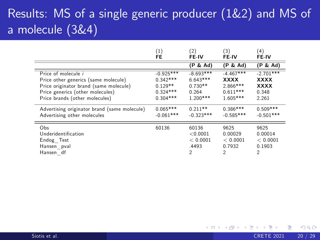# Results: MS of a single generic producer (1&2) and MS of a molecule (3&4)

|                                              | (1)         | (2)            | (3)         | (4)         |
|----------------------------------------------|-------------|----------------|-------------|-------------|
|                                              | FE          | FE-IV          | FE-IV       | FE-IV       |
|                                              |             | (P & Ad)       | (P & Ad)    | (P & Ad)    |
| Price of molecule i                          | $-0.925***$ | $-8.693***$    | $-4.467***$ | $-2.701***$ |
| Price other generics (same molecule)         | $0.342***$  | $6.643***$     | <b>XXXX</b> | <b>XXXX</b> |
| Price originator brand (same molecule)       | $0.129**$   | $0.730**$      | $2.866***$  | <b>XXXX</b> |
| Price generics (other molecules)             | $0.324***$  | 0.264          | $0.611***$  | 0.348       |
| Price brands (other molecules)               | $0.304***$  | $1.200***$     | $1.605***$  | 2.261       |
| Advertising originator brand (same molecule) | $0.065***$  | $0.211**$      | $0.386***$  | $0.509***$  |
| Advertising other molecules                  | $-0.061***$ | $-0.323***$    | $-0.585***$ | $-0.501***$ |
| Obs                                          | 60136       | 60136          | 9625        | 9625        |
| Underidentification                          |             | < 0.0001       | 0.00029     | 0.00014     |
| Endog Test                                   |             | < 0.0001       | < 0.0001    | < 0.0001    |
| Hansen pval                                  |             | .4493          | 0.7932      | 0.1903      |
| Hansen df                                    |             | $\mathfrak{D}$ | 2           | 2           |

4 0 8

 $QQ$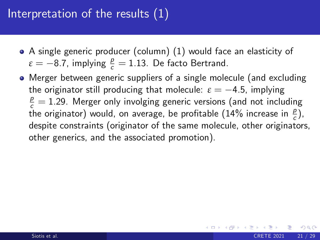## Interpretation of the results (1)

- A single generic producer (column) (1) would face an elasticity of  $\varepsilon = -8.7$ , implying  $\frac{p}{c} = 1.13$ . De facto Bertrand.
- Merger between generic suppliers of a single molecule (and excluding the originator still producing that molecule:  $\varepsilon = -4.5$ , implying  $\frac{p}{c} = 1.29$ . Merger only involging generic versions (and not including the originator) would, on average, be profitable (14% increase in  $\frac{p}{c}$ ), despite constraints (originator of the same molecule, other originators, other generics, and the associated promotion).

 $200$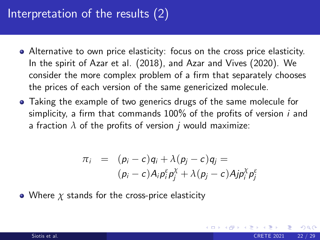## Interpretation of the results (2)

- Alternative to own price elasticity: focus on the cross price elasticity. In the spirit of Azar et al. (2018), and Azar and Vives (2020). We consider the more complex problem of a firm that separately chooses the prices of each version of the same genericized molecule.
- Taking the example of two generics drugs of the same molecule for simplicity, a firm that commands  $100\%$  of the profits of version i and a fraction  $\lambda$  of the profits of version *i* would maximize:

$$
\pi_i = (p_i - c)q_i + \lambda (p_j - c)q_j =
$$
  
\n
$$
(p_i - c)A_i p_i^{\varepsilon} p_j^{\chi} + \lambda (p_j - c)A_j p_i^{\chi} p_j^{\varepsilon}
$$

Where *χ* stands for the cross-price elasticity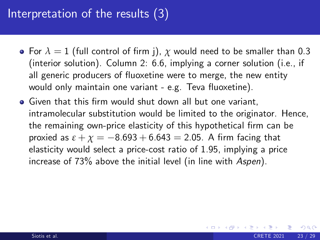## Interpretation of the results (3)

- For  $\lambda = 1$  (full control of firm j),  $\chi$  would need to be smaller than 0.3 (interior solution). Column 2: 6.6, implying a corner solution (i.e., if all generic producers of fluoxetine were to merge, the new entity would only maintain one variant - e.g. Teva fluoxetine).
- **•** Given that this firm would shut down all but one variant, intramolecular substitution would be limited to the originator. Hence, the remaining own-price elasticity of this hypothetical firm can be proxied as  $\varepsilon + \chi = -8.693 + 6.643 = 2.05$ . A firm facing that elasticity would select a price-cost ratio of 1.95, implying a price increase of 73% above the initial level (in line with Aspen).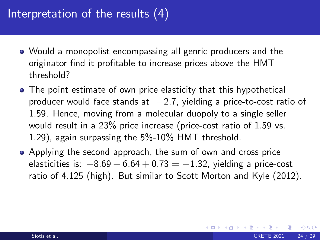## Interpretation of the results (4)

- Would a monopolist encompassing all genric producers and the originator find it profitable to increase prices above the HMT threshold?
- The point estimate of own price elasticity that this hypothetical producer would face stands at  $-2.7$ , yielding a price-to-cost ratio of 1.59. Hence, moving from a molecular duopoly to a single seller would result in a 23% price increase (price-cost ratio of 1.59 vs. 1.29), again surpassing the 5%-10% HMT threshold.
- Applying the second approach, the sum of own and cross price elasticities is:  $-8.69 + 6.64 + 0.73 = -1.32$ , yielding a price-cost ratio of 4.125 (high). But similar to Scott Morton and Kyle (2012).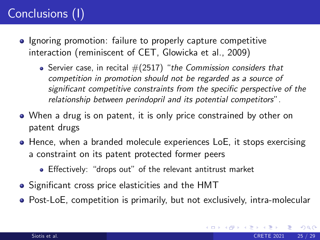# Conclusions (I)

- **•** Ignoring promotion: failure to properly capture competitive interaction (reminiscent of CET, Glowicka et al., 2009)
	- Servier case, in recital  $\#(2517)$  "the Commission considers that competition in promotion should not be regarded as a source of significant competitive constraints from the specific perspective of the relationship between perindopril and its potential competitors".
- When a drug is on patent, it is only price constrained by other on patent drugs
- Hence, when a branded molecule experiences LoE, it stops exercising a constraint on its patent protected former peers
	- Effectively: "drops out" of the relevant antitrust market
- Significant cross price elasticities and the HMT
- Post-LoE, competition is primarily, but not exclusively, intra-molecular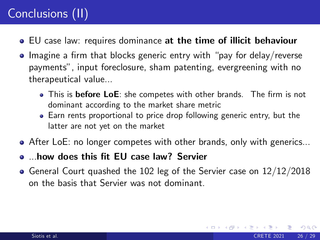# Conclusions (II)

- EU case law: requires dominance at the time of illicit behaviour
- $\bullet$  Imagine a firm that blocks generic entry with "pay for delay/reverse payments", input foreclosure, sham patenting, evergreening with no therapeutical value...
	- This is before LoE: she competes with other brands. The firm is not dominant according to the market share metric
	- Earn rents proportional to price drop following generic entry, but the latter are not yet on the market
- After LoE: no longer competes with other brands, only with generics...
- ....how does this fit EU case law? Servier
- $\bullet$  General Court quashed the 102 leg of the Servier case on  $12/12/2018$ on the basis that Servier was not dominant.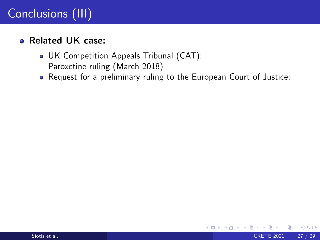#### Related UK case:

- UK Competition Appeals Tribunal (CAT): Paroxetine ruling (March 2018)
- Request for a preliminary ruling to the European Court of Justice:

4 0 8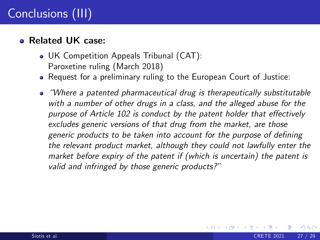#### Related UK case:

- UK Competition Appeals Tribunal (CAT): Paroxetine ruling (March 2018)
- Request for a preliminary ruling to the European Court of Justice:
- "Where a patented pharmaceutical drug is therapeutically substitutable with a number of other drugs in a class, and the alleged abuse for the purpose of Article 102 is conduct by the patent holder that effectively excludes generic versions of that drug from the market, are those generic products to be taken into account for the purpose of defining the relevant product market, although they could not lawfully enter the market before expiry of the patent if (which is uncertain) the patent is valid and infringed by those generic products?"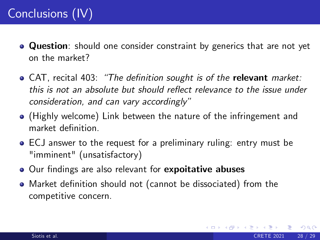# Conclusions (IV)

- **Question**: should one consider constraint by generics that are not yet on the market?
- $\bullet$  CAT, recital 403: "The definition sought is of the relevant market: this is not an absolute but should reflect relevance to the issue under consideration, and can vary accordingly"
- (Highly welcome) Link between the nature of the infringement and market definition
- ECJ answer to the request for a preliminary ruling: entry must be "imminent" (unsatisfactory)
- Our findings are also relevant for expoitative abuses
- Market definition should not (cannot be dissociated) from the competitive concern.